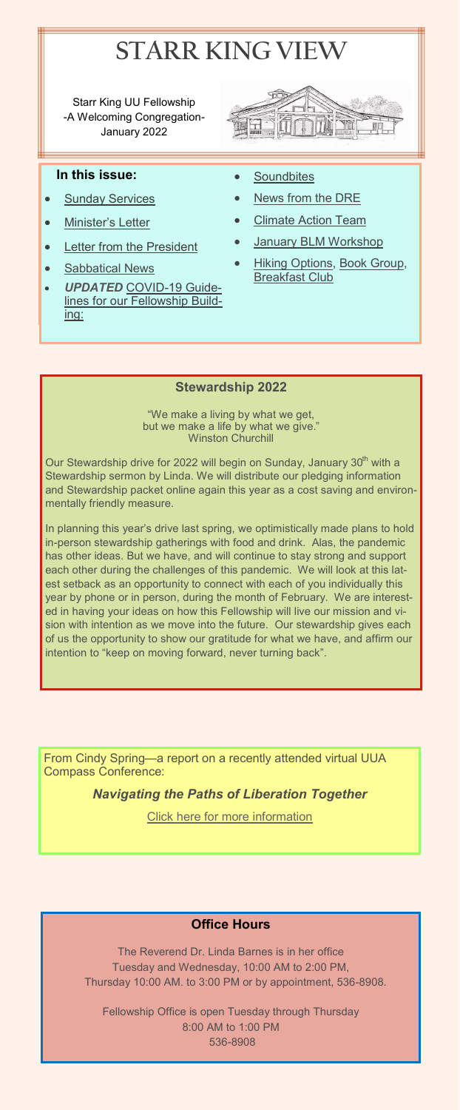# **STARR KING VIEW**

Starr King UU Fellowship -A Welcoming Congregation-January 2022



### **In this issue:**

- **[Sunday Services](#page-2-0)**
- **[Minister](#page-1-0)'s Letter**
- [Letter from the President](#page-4-0)
- [Sabbatical News](#page-1-0)
- *UPDATED* COVID-[19 Guide](#page-3-0)[lines for our Fellowship Build](#page-3-0)[ing:](#page-3-0)
- **[Soundbites](#page-5-0)**
- [News from the DRE](#page-5-0)
- **[Climate Action Team](#page-7-0)**
- [January BLM Workshop](#page-6-0)
- **[Hiking Options, Book Group,](#page-8-0)** [Breakfast Club](#page-8-0)

### **Stewardship 2022**

"We make a living by what we get, but we make a life by what we give." Winston Churchill

<span id="page-0-0"></span>Our Stewardship drive for 2022 will begin on Sunday, January 30<sup>th</sup> with a Stewardship sermon by Linda. We will distribute our pledging information and Stewardship packet online again this year as a cost saving and environmentally friendly measure.

In planning this year's drive last spring, we optimistically made plans to hold in-person stewardship gatherings with food and drink. Alas, the pandemic has other ideas. But we have, and will continue to stay strong and support each other during the challenges of this pandemic. We will look at this latest setback as an opportunity to connect with each of you individually this year by phone or in person, during the month of February. We are interested in having your ideas on how this Fellowship will live our mission and vision with intention as we move into the future. Our stewardship gives each of us the opportunity to show our gratitude for what we have, and affirm our intention to "keep on moving forward, never turning back".

From Cindy Spring—a report on a recently attended virtual UUA Compass Conference:

*Navigating the Paths of Liberation Together*

[Click here for more information](#page-6-0)

### **Office Hours**

The Reverend Dr. Linda Barnes is in her office Tuesday and Wednesday, 10:00 AM to 2:00 PM, Thursday 10:00 AM. to 3:00 PM or by appointment, 536-8908.

Fellowship Office is open Tuesday through Thursday 8:00 AM to 1:00 PM 536-8908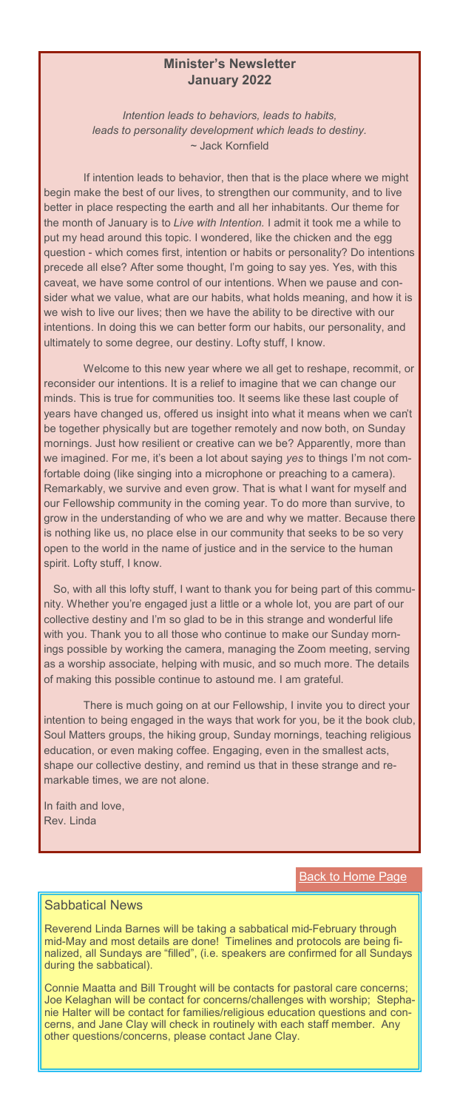### **Minister's Newsletter January 2022**

*Intention leads to behaviors, leads to habits, leads to personality development which leads to destiny.* ~ Jack Kornfield

If intention leads to behavior, then that is the place where we might begin make the best of our lives, to strengthen our community, and to live better in place respecting the earth and all her inhabitants. Our theme for the month of January is to *Live with Intention.* I admit it took me a while to put my head around this topic. I wondered, like the chicken and the egg question - which comes first, intention or habits or personality? Do intentions precede all else? After some thought, I'm going to say yes. Yes, with this caveat, we have some control of our intentions. When we pause and consider what we value, what are our habits, what holds meaning, and how it is we wish to live our lives; then we have the ability to be directive with our intentions. In doing this we can better form our habits, our personality, and ultimately to some degree, our destiny. Lofty stuff, I know.

<span id="page-1-0"></span>Welcome to this new year where we all get to reshape, recommit, or reconsider our intentions. It is a relief to imagine that we can change our minds. This is true for communities too. It seems like these last couple of years have changed us, offered us insight into what it means when we can't be together physically but are together remotely and now both, on Sunday mornings. Just how resilient or creative can we be? Apparently, more than we imagined. For me, it's been a lot about saying *yes* to things I'm not comfortable doing (like singing into a microphone or preaching to a camera). Remarkably, we survive and even grow. That is what I want for myself and our Fellowship community in the coming year. To do more than survive, to grow in the understanding of who we are and why we matter. Because there is nothing like us, no place else in our community that seeks to be so very open to the world in the name of justice and in the service to the human spirit. Lofty stuff, I know.

So, with all this lofty stuff, I want to thank you for being part of this community. Whether you're engaged just a little or a whole lot, you are part of our collective destiny and I'm so glad to be in this strange and wonderful life with you. Thank you to all those who continue to make our Sunday mornings possible by working the camera, managing the Zoom meeting, serving as a worship associate, helping with music, and so much more. The details of making this possible continue to astound me. I am grateful.

There is much going on at our Fellowship, I invite you to direct your intention to being engaged in the ways that work for you, be it the book club, Soul Matters groups, the hiking group, Sunday mornings, teaching religious education, or even making coffee. Engaging, even in the smallest acts, shape our collective destiny, and remind us that in these strange and remarkable times, we are not alone.

In faith and love, Rev. Linda

**[Back to Home Page](#page-0-0)** 

### Sabbatical News

Reverend Linda Barnes will be taking a sabbatical mid-February through mid-May and most details are done! Timelines and protocols are being finalized, all Sundays are "filled", (i.e. speakers are confirmed for all Sundays during the sabbatical).

Connie Maatta and Bill Trought will be contacts for pastoral care concerns; Joe Kelaghan will be contact for concerns/challenges with worship; Stephanie Halter will be contact for families/religious education questions and concerns, and Jane Clay will check in routinely with each staff member. Any other questions/concerns, please contact Jane Clay.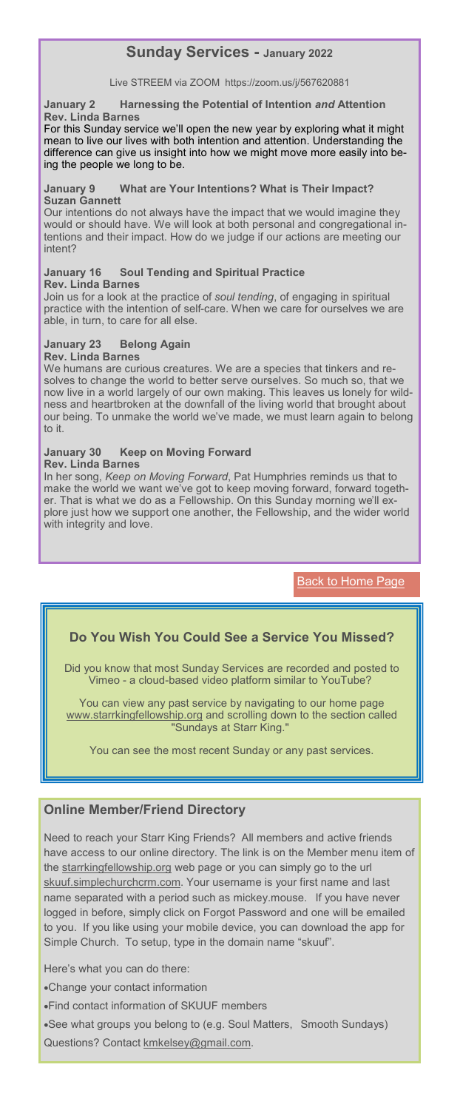# **Sunday Services - January 2022**

### Live STREEM via ZOOM https://zoom.us/j/567620881

**January 2 Harnessing the Potential of Intention** *and* **Attention Rev. Linda Barnes**

For this Sunday service we'll open the new year by exploring what it might mean to live our lives with both intention and attention. Understanding the difference can give us insight into how we might move more easily into being the people we long to be.

#### **January 9 What are Your Intentions? What is Their Impact? Suzan Gannett**

Our intentions do not always have the impact that we would imagine they would or should have. We will look at both personal and congregational intentions and their impact. How do we judge if our actions are meeting our intent?

#### **January 16 Soul Tending and Spiritual Practice Rev. Linda Barnes**

Join us for a look at the practice of *soul tending*, of engaging in spiritual practice with the intention of self-care. When we care for ourselves we are able, in turn, to care for all else.

### **January 23 Belong Again**

### **Rev. Linda Barnes**

We humans are curious creatures. We are a species that tinkers and resolves to change the world to better serve ourselves. So much so, that we now live in a world largely of our own making. This leaves us lonely for wildness and heartbroken at the downfall of the living world that brought about our being. To unmake the world we've made, we must learn again to belong to it.

### <span id="page-2-0"></span>**January 30 Keep on Moving Forward**

#### **Rev. Linda Barnes**

In her song, *Keep on Moving Forward*, Pat Humphries reminds us that to make the world we want we've got to keep moving forward, forward together. That is what we do as a Fellowship. On this Sunday morning we'll explore just how we support one another, the Fellowship, and the wider world with integrity and love.

**[Back to Home Page](#page-0-0)** 

### **Do You Wish You Could See a Service You Missed?**

Did you know that most Sunday Services are recorded and posted to Vimeo - a cloud-based video platform similar to YouTube?

You can view any past service by navigating to our home page [www.starrkingfellowship.org](http://www.starrkingfellowship.org) and scrolling down to the section called "Sundays at Starr King."

You can see the most recent Sunday or any past services.

### **Online Member/Friend Directory**

Need to reach your Starr King Friends? All members and active friends have access to our online directory. The link is on the Member menu item of the [starrkingfellowship.org](https://www.starrkingfellowship.org/member-links) web page or you can simply go to the url [skuuf.simplechurchcrm.com.](http://skuuf.simplechurchcrm.com) Your username is your first name and last name separated with a period such as mickey.mouse. If you have never logged in before, simply click on Forgot Password and one will be emailed to you. If you like using your mobile device, you can download the app for Simple Church. To setup, type in the domain name "skuuf".

Here's what you can do there:

•Change your contact information

•Find contact information of SKUUF members

•See what groups you belong to (e.g. Soul Matters, Smooth Sundays) Questions? Contact [kmkelsey@gmail.com.](mailto:kmkelsey@gmail.com)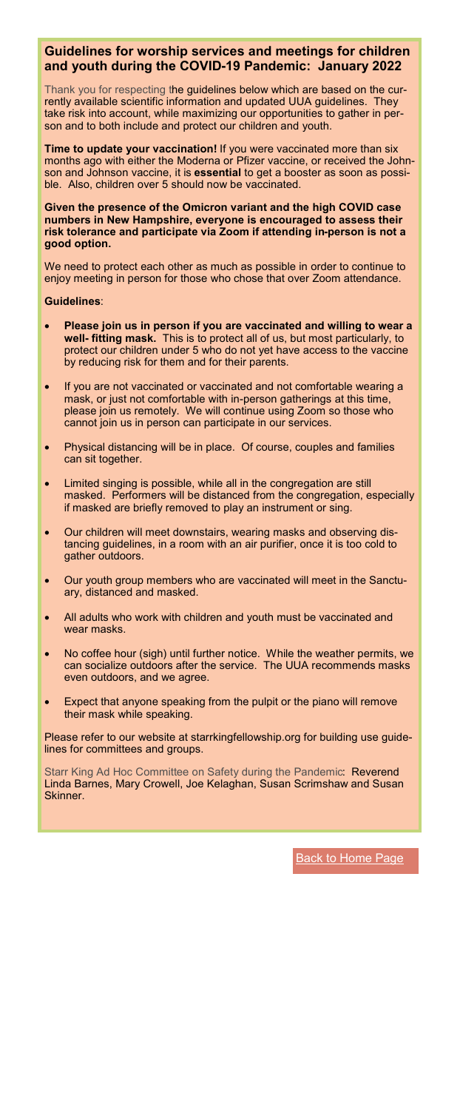### **Guidelines for worship services and meetings for children and youth during the COVID-19 Pandemic: January 2022**

Thank you for respecting the guidelines below which are based on the currently available scientific information and updated UUA guidelines. They take risk into account, while maximizing our opportunities to gather in person and to both include and protect our children and youth.

**Time to update your vaccination!** If you were vaccinated more than six months ago with either the Moderna or Pfizer vaccine, or received the Johnson and Johnson vaccine, it is **essential** to get a booster as soon as possible. Also, children over 5 should now be vaccinated.

**Given the presence of the Omicron variant and the high COVID case numbers in New Hampshire, everyone is encouraged to assess their risk tolerance and participate via Zoom if attending in-person is not a good option.**

We need to protect each other as much as possible in order to continue to enjoy meeting in person for those who chose that over Zoom attendance.

#### **Guidelines**:

- **Please join us in person if you are vaccinated and willing to wear a well- fitting mask.** This is to protect all of us, but most particularly, to protect our children under 5 who do not yet have access to the vaccine by reducing risk for them and for their parents.
- If you are not vaccinated or vaccinated and not comfortable wearing a mask, or just not comfortable with in-person gatherings at this time, please join us remotely. We will continue using Zoom so those who cannot join us in person can participate in our services.
- <span id="page-3-0"></span>Physical distancing will be in place. Of course, couples and families can sit together.
- Limited singing is possible, while all in the congregation are still masked. Performers will be distanced from the congregation, especially if masked are briefly removed to play an instrument or sing.
- Our children will meet downstairs, wearing masks and observing distancing guidelines, in a room with an air purifier, once it is too cold to gather outdoors.
- Our youth group members who are vaccinated will meet in the Sanctuary, distanced and masked.
- All adults who work with children and youth must be vaccinated and wear masks.
- No coffee hour (sigh) until further notice. While the weather permits, we can socialize outdoors after the service. The UUA recommends masks even outdoors, and we agree.
- Expect that anyone speaking from the pulpit or the piano will remove their mask while speaking.

Please refer to our website at starrkingfellowship.org for building use guidelines for committees and groups.

Starr King Ad Hoc Committee on Safety during the Pandemic: Reverend Linda Barnes, Mary Crowell, Joe Kelaghan, Susan Scrimshaw and Susan **Skinner** 

[Back to Home Page](#page-0-0)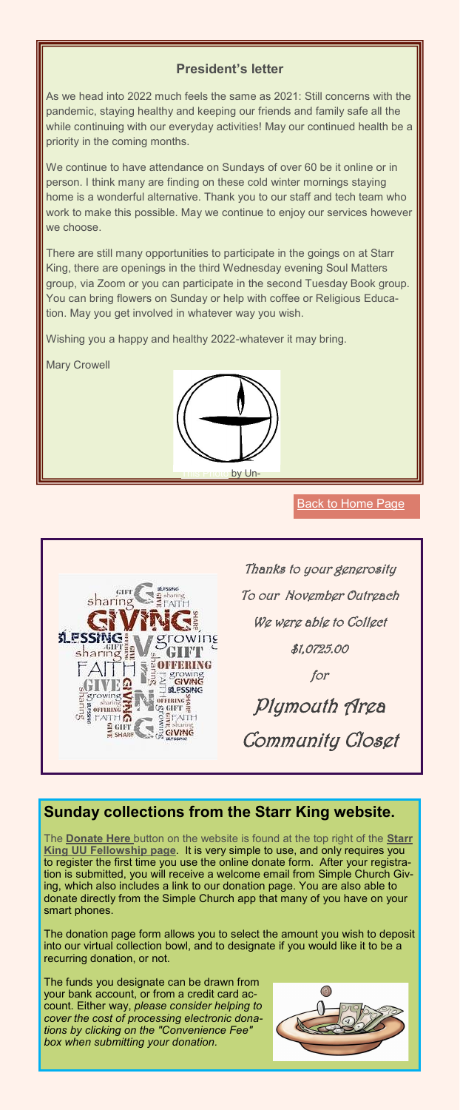### **President's letter**

As we head into 2022 much feels the same as 2021: Still concerns with the pandemic, staying healthy and keeping our friends and family safe all the while continuing with our everyday activities! May our continued health be a priority in the coming months.

We continue to have attendance on Sundays of over 60 be it online or in person. I think many are finding on these cold winter mornings staying home is a wonderful alternative. Thank you to our staff and tech team who work to make this possible. May we continue to enjoy our services however we choose.

There are still many opportunities to participate in the goings on at Starr King, there are openings in the third Wednesday evening Soul Matters group, via Zoom or you can participate in the second Tuesday Book group. You can bring flowers on Sunday or help with coffee or Religious Education. May you get involved in whatever way you wish.

Wishing you a happy and healthy 2022-whatever it may bring.

<span id="page-4-0"></span>Mary Crowell



### [Back to Home Page](#page-0-0)



# **Sunday collections from the Starr King website.**

The **[Donate Here](https://www.starrkingfellowship.org/donations)** button on the website is found at the top right of the **[Starr](https://www.starrkingfellowship.org)  [King UU Fellowship page](https://www.starrkingfellowship.org)**. It is very simple to use, and only requires you to register the first time you use the online donate form. After your registration is submitted, you will receive a welcome email from Simple Church Giving, which also includes a link to our donation page. You are also able to donate directly from the Simple Church app that many of you have on your smart phones.

The donation page form allows you to select the amount you wish to deposit into our virtual collection bowl, and to designate if you would like it to be a recurring donation, or not.

The funds you designate can be drawn from your bank account, or from a credit card account. Either way, *please consider helping to cover the cost of processing electronic donations by clicking on the "Convenience Fee" box when submitting your donation.*

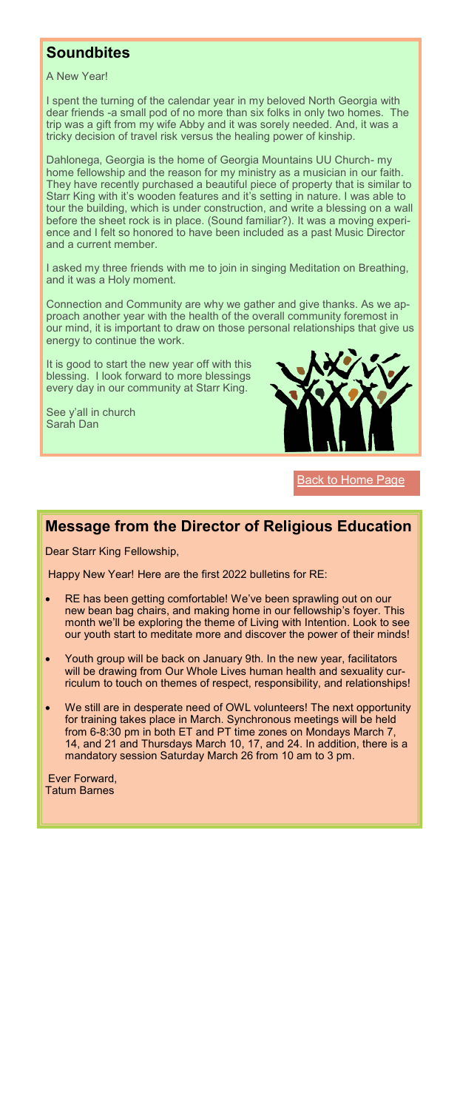## **Soundbites**

A New Year!

I spent the turning of the calendar year in my beloved North Georgia with dear friends -a small pod of no more than six folks in only two homes. The trip was a gift from my wife Abby and it was sorely needed. And, it was a tricky decision of travel risk versus the healing power of kinship.

Dahlonega, Georgia is the home of Georgia Mountains UU Church- my home fellowship and the reason for my ministry as a musician in our faith. They have recently purchased a beautiful piece of property that is similar to Starr King with it's wooden features and it's setting in nature. I was able to tour the building, which is under construction, and write a blessing on a wall before the sheet rock is in place. (Sound familiar?). It was a moving experience and I felt so honored to have been included as a past Music Director and a current member.

I asked my three friends with me to join in singing Meditation on Breathing, and it was a Holy moment.

Connection and Community are why we gather and give thanks. As we approach another year with the health of the overall community foremost in our mind, it is important to draw on those personal relationships that give us energy to continue the work.

It is good to start the new year off with this blessing. I look forward to more blessings every day in our community at Starr King.

<span id="page-5-0"></span>See y'all in church Sarah Dan



**[Back to Home Page](#page-0-0)** 

# **Message from the Director of Religious Education**

Dear Starr King Fellowship,

Happy New Year! Here are the first 2022 bulletins for RE:

- RE has been getting comfortable! We've been sprawling out on our new bean bag chairs, and making home in our fellowship's foyer. This month we'll be exploring the theme of Living with Intention. Look to see our youth start to meditate more and discover the power of their minds!
- Youth group will be back on January 9th. In the new year, facilitators will be drawing from Our Whole Lives human health and sexuality curriculum to touch on themes of respect, responsibility, and relationships!
- We still are in desperate need of OWL volunteers! The next opportunity for training takes place in March. Synchronous meetings will be held from 6-8:30 pm in both ET and PT time zones on Mondays March 7, 14, and 21 and Thursdays March 10, 17, and 24. In addition, there is a mandatory session Saturday March 26 from 10 am to 3 pm.

Ever Forward, Tatum Barnes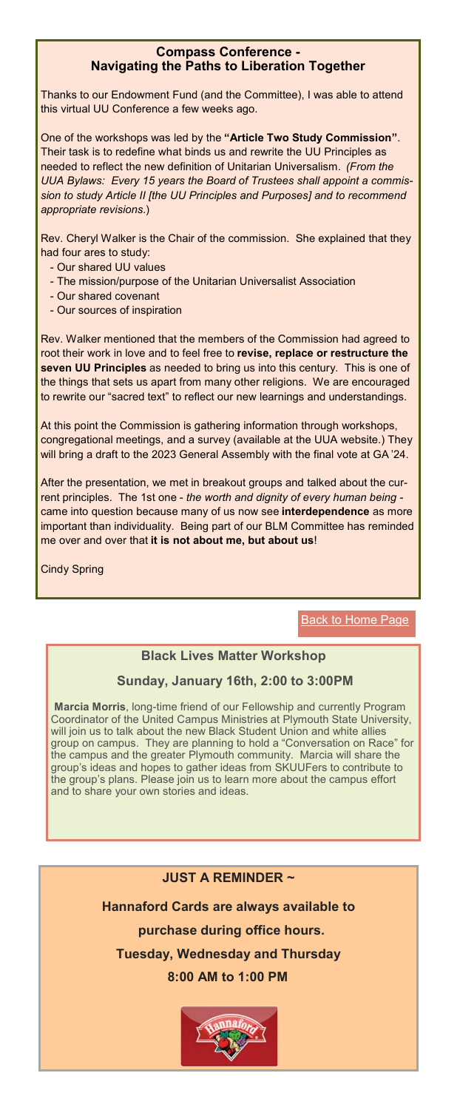### **Compass Conference - Navigating the Paths to Liberation Together**

Thanks to our Endowment Fund (and the Committee), I was able to attend this virtual UU Conference a few weeks ago.

One of the workshops was led by the **"Article Two Study Commission"**. Their task is to redefine what binds us and rewrite the UU Principles as needed to reflect the new definition of Unitarian Universalism. *(From the UUA Bylaws: Every 15 years the Board of Trustees shall appoint a commission to study Article II [the UU Principles and Purposes] and to recommend appropriate revisions.*)

Rev. Cheryl Walker is the Chair of the commission. She explained that they had four ares to study:

- Our shared UU values
- The mission/purpose of the Unitarian Universalist Association
- Our shared covenant
- Our sources of inspiration

Rev. Walker mentioned that the members of the Commission had agreed to root their work in love and to feel free to **revise, replace or restructure the seven UU Principles** as needed to bring us into this century. This is one of the things that sets us apart from many other religions. We are encouraged to rewrite our "sacred text" to reflect our new learnings and understandings.

<span id="page-6-0"></span>congregational meetings, and a survey (available at the UUA website.) They At this point the Commission is gathering information through workshops, will bring a draft to the 2023 General Assembly with the final vote at GA '24.

After the presentation, we met in breakout groups and talked about the current principles. The 1st one - *the worth and dignity of every human being* came into question because many of us now see **interdependence** as more important than individuality. Being part of our BLM Committee has reminded me over and over that **it is not about me, but about us**!

### Cindy Spring

**[Back to Home Page](#page-0-0)** 

### **Black Lives Matter Workshop**

### **Sunday, January 16th, 2:00 to 3:00PM**

**Marcia Morris**, long-time friend of our Fellowship and currently Program Coordinator of the United Campus Ministries at Plymouth State University, will join us to talk about the new Black Student Union and white allies group on campus. They are planning to hold a "Conversation on Race" for the campus and the greater Plymouth community. Marcia will share the the campus and the greater Plymouth community. group's ideas and hopes to gather ideas from SKUUFers to contribute to the group's plans. Please join us to learn more about the campus effort and to share your own stories and ideas.

### **JUST A REMINDER ~**

**Hannaford Cards are always available to purchase during office hours. Tuesday, Wednesday and Thursday 8:00 AM to 1:00 PM** 

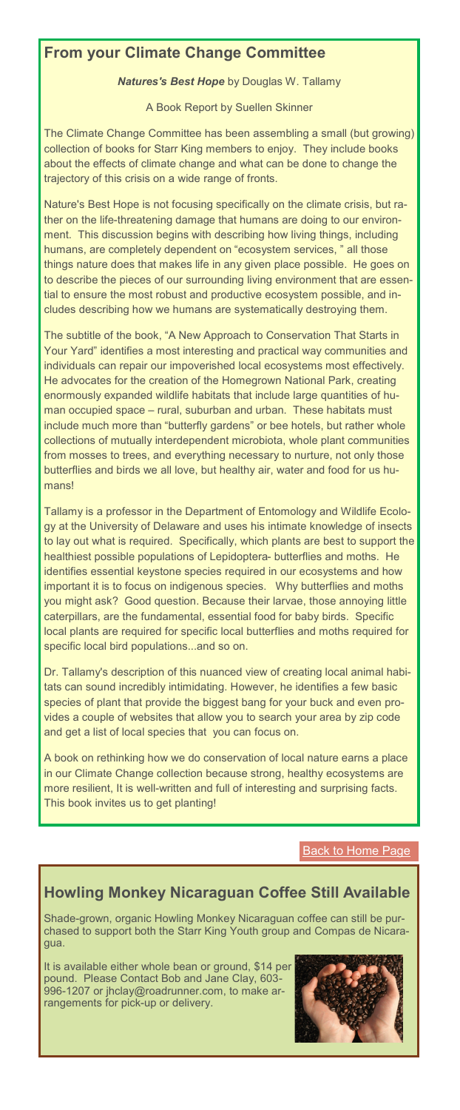# **From your Climate Change Committee**

*Natures's Best Hope* by Douglas W. Tallamy

A Book Report by Suellen Skinner

The Climate Change Committee has been assembling a small (but growing) collection of books for Starr King members to enjoy. They include books about the effects of climate change and what can be done to change the trajectory of this crisis on a wide range of fronts.

Nature's Best Hope is not focusing specifically on the climate crisis, but rather on the life-threatening damage that humans are doing to our environment. This discussion begins with describing how living things, including humans, are completely dependent on "ecosystem services, " all those things nature does that makes life in any given place possible. He goes on to describe the pieces of our surrounding living environment that are essential to ensure the most robust and productive ecosystem possible, and includes describing how we humans are systematically destroying them.

The subtitle of the book, "A New Approach to Conservation That Starts in Your Yard" identifies a most interesting and practical way communities and individuals can repair our impoverished local ecosystems most effectively. He advocates for the creation of the Homegrown National Park, creating enormously expanded wildlife habitats that include large quantities of human occupied space – rural, suburban and urban. These habitats must include much more than "butterfly gardens" or bee hotels, but rather whole collections of mutually interdependent microbiota, whole plant communities from mosses to trees, and everything necessary to nurture, not only those butterflies and birds we all love, but healthy air, water and food for us humans!

<span id="page-7-0"></span>Tallamy is a professor in the Department of Entomology and Wildlife Ecology at the University of Delaware and uses his intimate knowledge of insects to lay out what is required. Specifically, which plants are best to support the healthiest possible populations of Lepidoptera- butterflies and moths. He identifies essential keystone species required in our ecosystems and how important it is to focus on indigenous species. Why butterflies and moths you might ask? Good question. Because their larvae, those annoying little caterpillars, are the fundamental, essential food for baby birds. Specific local plants are required for specific local butterflies and moths required for specific local bird populations...and so on.

Dr. Tallamy's description of this nuanced view of creating local animal habitats can sound incredibly intimidating. However, he identifies a few basic species of plant that provide the biggest bang for your buck and even provides a couple of websites that allow you to search your area by zip code and get a list of local species that you can focus on.

A book on rethinking how we do conservation of local nature earns a place in our Climate Change collection because strong, healthy ecosystems are more resilient, It is well-written and full of interesting and surprising facts. This book invites us to get planting!

**[Back to Home Page](#page-0-0)** 

# **Howling Monkey Nicaraguan Coffee Still Available**

Shade-grown, organic Howling Monkey Nicaraguan coffee can still be purchased to support both the Starr King Youth group and Compas de Nicaragua.

It is available either whole bean or ground, \$14 per pound. Please Contact Bob and Jane Clay, 603- 996-1207 or jhclay@roadrunner.com, to make arrangements for pick-up or delivery.

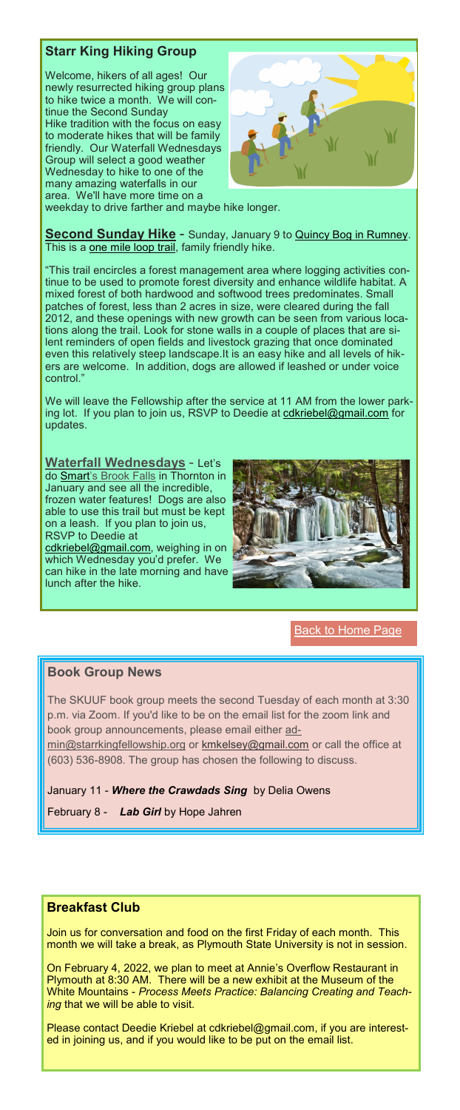## **Starr King Hiking Group**

Welcome, hikers of all ages! Our newly resurrected hiking group plans to hike twice a month. We will continue the Second Sunday Hike tradition with the focus on easy to moderate hikes that will be family friendly. Our Waterfall Wednesdays Group will select a good weather Wednesday to hike to one of the many amazing waterfalls in our area. We'll have more time on a weekday to drive farther and maybe hike longer.



**Second Sunday Hike** - Sunday, January 9 to **Quincy Bog in Rumney**. This is a [one mile loop trail,](http://www.quincybog.org/images/TrailGuides/QuincyBogFinalMap_Mar9.pdf) family friendly hike.

"This trail encircles a forest management area where logging activities continue to be used to promote forest diversity and enhance wildlife habitat. A mixed forest of both hardwood and softwood trees predominates. Small patches of forest, less than 2 acres in size, were cleared during the fall 2012, and these openings with new growth can be seen from various locations along the trail. Look for stone walls in a couple of places that are silent reminders of open fields and livestock grazing that once dominated even this relatively steep landscape.It is an easy hike and all levels of hikers are welcome. In addition, dogs are allowed if leashed or under voice control.

We will leave the Fellowship after the service at 11 AM from the lower parking lot. If you plan to join us, RSVP to Deedie at [cdkriebel@gmail.com](mailto:cdkriebel@gmail.com) for updates.

<span id="page-8-0"></span>**Waterfall Wednesdays** - Let's do **Smart'[s Brook Falls](http://newhampshireadventures.blogspot.com/2013/01/v-behaviorurldefaultvmlo.html)** in Thornton in January and see all the incredible, frozen water features! Dogs are also able to use this trail but must be kept on a leash. If you plan to join us, RSVP to Deedie at

[cdkriebel@gmail.com,](mailto:cdkriebel@gmail.com) weighing in on which Wednesday you'd prefer. We can hike in the late morning and have lunch after the hike.



### **[Back to Home Page](#page-0-0)**

### **Book Group News**

The SKUUF book group meets the second Tuesday of each month at 3:30 p.m. via Zoom. If you'd like to be on the email list for the zoom link and book group announcements, please email either [ad-](mailto:admin@starrkingfellowship.org)

[min@starrkingfellowship.org](mailto:admin@starrkingfellowship.org) or [kmkelsey@gmail.com](mailto:kmkelsey@gmail.com) or call the office at (603) 536-8908. The group has chosen the following to discuss.

### January 11 - *[Where the Crawdads Sing](https://www.amazon.com/Where-Crawdads-Sing-Delia-Owens-audiobook/dp/B07FSXPMHY/ref=sr_1_1?crid=19EHREMZ6RUIT&dchild=1&keywords=where+the+crawdads+sing&qid=1629463547&s=audible&sprefix=where%2Caudible%2C208&sr=1-1)* by Delia Owens

February 8 - *Lab Girl* [by Hope Jahren](https://www.amazon.com/Lab-Girl-Hope-Jahren/dp/1101873728/ref=sr_1_1?dchild=1&keywords=Lab+Girl+by+Hope+Jahren&qid=1625097710&sr=8-1)

### **Breakfast Club**

Join us for conversation and food on the first Friday of each month. This month we will take a break, as Plymouth State University is not in session.

On February 4, 2022, we plan to meet at Annie's Overflow Restaurant in Plymouth at 8:30 AM. There will be a new exhibit at the Museum of the White Mountains - *Process Meets Practice: Balancing Creating and Teaching* that we will be able to visit.

Please contact Deedie Kriebel at cdkriebel@gmail.com, if you are interested in joining us, and if you would like to be put on the email list.